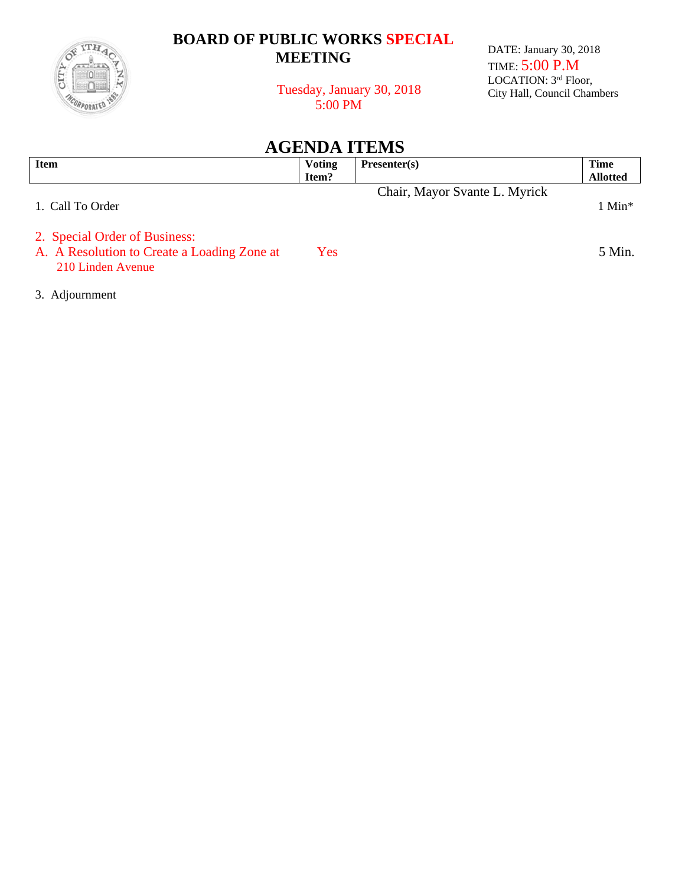

## **BOARD OF PUBLIC WORKS SPECIAL MEETING**

DATE: January 30, 2018 TIME: 5:00 P.M LOCATION: 3rd Floor, City Hall, Council Chambers

 Tuesday, January 30, 2018 5:00 PM

**AGENDA ITEMS**

| <b>Item</b>                                                                                       | <b>Voting</b><br>Item? | Presenter(s)                  | <b>Time</b><br><b>Allotted</b> |
|---------------------------------------------------------------------------------------------------|------------------------|-------------------------------|--------------------------------|
| 1. Call To Order                                                                                  |                        | Chair, Mayor Svante L. Myrick | $1$ Min <sup>*</sup>           |
| 2. Special Order of Business:<br>A. A Resolution to Create a Loading Zone at<br>210 Linden Avenue | Yes                    |                               | 5 Min.                         |

3. Adjournment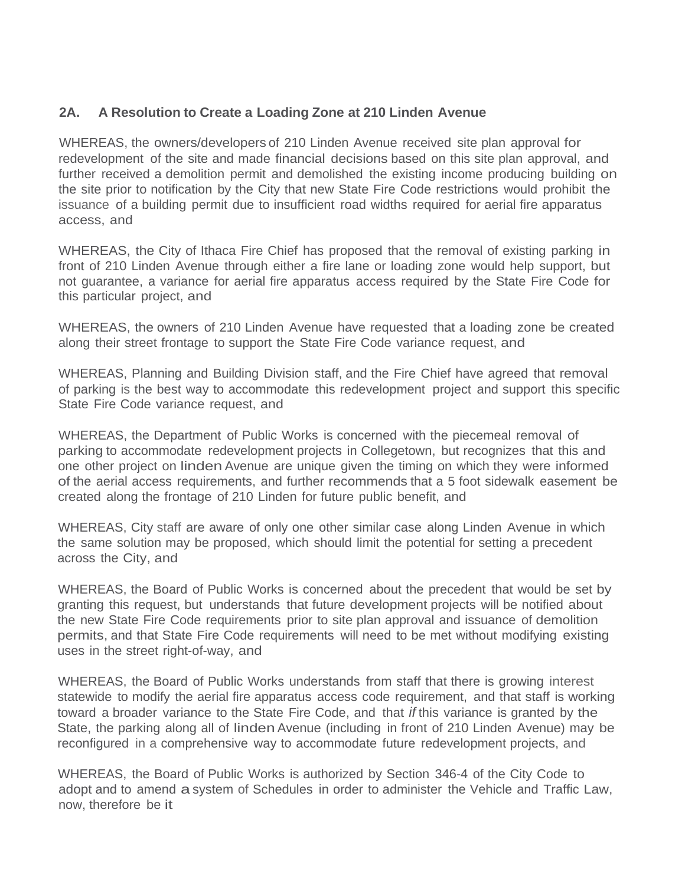## **2A. A Resolution to Create a Loading Zone at 210 Linden Avenue**

WHEREAS, the owners/developers of 210 Linden Avenue received site plan approval for redevelopment of the site and made financial decisions based on this site plan approval, and further received a demolition permit and demolished the existing income producing building on the site prior to notification by the City that new State Fire Code restrictions would prohibit the issuance of a building permit due to insufficient road widths required for aerial fire apparatus access, and

WHEREAS, the City of Ithaca Fire Chief has proposed that the removal of existing parking in front of 210 Linden Avenue through either a fire lane or loading zone would help support, but not guarantee, a variance for aerial fire apparatus access required by the State Fire Code for this particular project, and

WHEREAS, the owners of 210 Linden Avenue have requested that a loading zone be created along their street frontage to support the State Fire Code variance request, and

WHEREAS, Planning and Building Division staff, and the Fire Chief have agreed that removal of parking is the best way to accommodate this redevelopment project and support this specific State Fire Code variance request, and

WHEREAS, the Department of Public Works is concerned with the piecemeal removal of parking to accommodate redevelopment projects in Collegetown, but recognizes that this and one other project on linden Avenue are unique given the timing on which they were informed of the aerial access requirements, and further recommends that a 5 foot sidewalk easement be created along the frontage of 210 Linden for future public benefit, and

WHEREAS, City staff are aware of only one other similar case along Linden Avenue in which the same solution may be proposed, which should limit the potential for setting a precedent across the City, and

WHEREAS, the Board of Public Works is concerned about the precedent that would be set by granting this request, but understands that future development projects will be notified about the new State Fire Code requirements prior to site plan approval and issuance of demolition permits, and that State Fire Code requirements will need to be met without modifying existing uses in the street right-of-way, and

WHEREAS, the Board of Public Works understands from staff that there is growing interest statewide to modify the aerial fire apparatus access code requirement, and that staff is working toward a broader variance to the State Fire Code, and that *if* this variance is granted by the State, the parking along all of linden Avenue (including in front of 210 Linden Avenue) may be reconfigured in a comprehensive way to accommodate future redevelopment projects, and

WHEREAS, the Board of Public Works is authorized by Section 346-4 of the City Code to adopt and to amend a system of Schedules in order to administer the Vehicle and Traffic Law, now, therefore be it